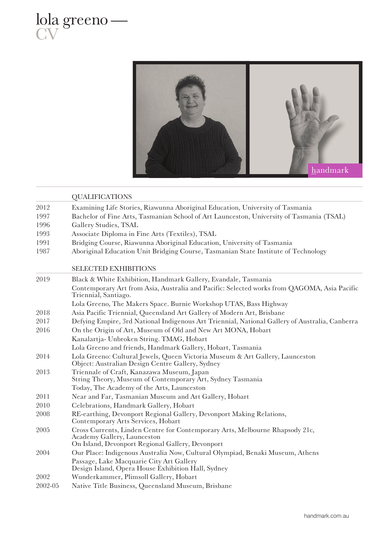



|         | <b>OUALIFICATIONS</b>                                                                                                                                           |
|---------|-----------------------------------------------------------------------------------------------------------------------------------------------------------------|
| 2012    | Examining Life Stories, Riawunna Aboriginal Education, University of Tasmania                                                                                   |
| 1997    | Bachelor of Fine Arts, Tasmanian School of Art Launceston, University of Tasmania (TSAL)                                                                        |
| 1996    | Gallery Studies, TSAL                                                                                                                                           |
| 1993    | Associate Diploma in Fine Arts (Textiles), TSAL                                                                                                                 |
| 1991    | Bridging Course, Riawunna Aboriginal Education, University of Tasmania                                                                                          |
| 1987    | Aboriginal Education Unit Bridging Course, Tasmanian State Institute of Technology                                                                              |
|         | <b>SELECTED EXHIBITIONS</b>                                                                                                                                     |
| 2019    | Black & White Exhibition, Handmark Gallery, Evandale, Tasmania                                                                                                  |
|         | Contemporary Art from Asia, Australia and Pacific: Selected works from QAGOMA, Asia Pacific<br>Triennial, Santiago.                                             |
|         | Lola Greeno, The Makers Space. Burnie Workshop UTAS, Bass Highway                                                                                               |
| 2018    | Asia Pacific Triennial, Queensland Art Gallery of Modern Art, Brisbane                                                                                          |
| 2017    | Defying Empire, 3rd National Indigenous Art Triennial, National Gallery of Australia, Canberra                                                                  |
| 2016    | On the Origin of Art, Museum of Old and New Art MONA, Hobart                                                                                                    |
|         | Kanalartja- Unbroken String. TMAG, Hobart                                                                                                                       |
|         | Lola Greeno and friends, Handmark Gallery, Hobart, Tasmania                                                                                                     |
| 2014    | Lola Greeno: Cultural Jewels, Queen Victoria Museum & Art Gallery, Launceston<br>Object: Australian Design Centre Gallery, Sydney                               |
| 2013    | Triennale of Craft, Kanazawa Museum, Japan<br>String Theory, Museum of Contemporary Art, Sydney Tasmania                                                        |
|         | Today, The Academy of the Arts, Launceston                                                                                                                      |
| 2011    | Near and Far, Tasmanian Museum and Art Gallery, Hobart                                                                                                          |
| 2010    | Celebrations, Handmark Gallery, Hobart                                                                                                                          |
| 2008    | RE-earthing, Devonport Regional Gallery, Devonport Making Relations,<br>Contemporary Arts Services, Hobart                                                      |
| 2005    | Cross Currents, Linden Centre for Contemporary Arts, Melbourne Rhapsody 21c,<br>Academy Gallery, Launceston<br>On Island, Devonport Regional Gallery, Devonport |
| 2004    | Our Place: Indigenous Australia Now, Cultural Olympiad, Benaki Museum, Athens                                                                                   |
|         | Passage, Lake Macquarie City Art Gallery<br>Design Island, Opera House Exhibition Hall, Sydney                                                                  |
| 2002    | Wunderkammer, Plimsoll Gallery, Hobart                                                                                                                          |
| 2002-05 | Native Title Business, Queensland Museum, Brisbane                                                                                                              |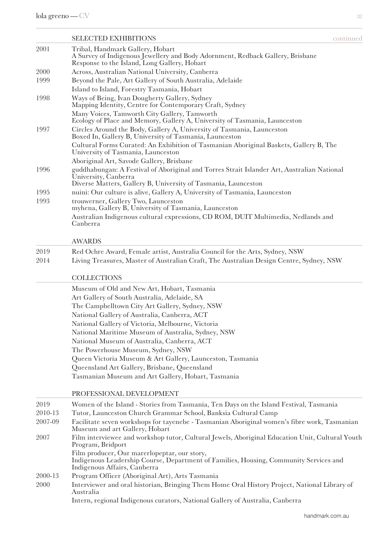|              | <b>SELECTED EXHIBITIONS</b><br>continued                                                                                                                               |
|--------------|------------------------------------------------------------------------------------------------------------------------------------------------------------------------|
| 2001         | Tribal, Handmark Gallery, Hobart<br>A Survey of Indigenous Jewellery and Body Adornment, Redback Gallery, Brisbane<br>Response to the Island, Long Gallery, Hobart     |
| 2000         | Across, Australian National University, Canberra                                                                                                                       |
| 1999<br>1998 | Beyond the Pale, Art Gallery of South Australia, Adelaide                                                                                                              |
|              | Island to Island, Forestry Tasmania, Hobart                                                                                                                            |
|              | Ways of Being, Ivan Dougherty Gallery, Sydney<br>Mapping Identity, Centre for Contemporary Craft, Sydney                                                               |
|              | Many Voices, Tamworth City Gallery, Tamworth<br>Ecology of Place and Memory, Gallery A, University of Tasmania, Launceston                                             |
| 1997         | Circles Around the Body, Gallery A, University of Tasmania, Launceston<br>Boxed In, Gallery B, University of Tasmania, Launceston                                      |
|              | Cultural Forms Curated: An Exhibition of Tasmanian Aboriginal Baskets, Gallery B, The<br>University of Tasmania, Launceston                                            |
|              | Aboriginal Art, Savode Gallery, Brisbane                                                                                                                               |
| 1996         | guddhabungan: A Festival of Aboriginal and Torres Strait Islander Art, Australian National<br>University, Canberra                                                     |
|              | Diverse Matters, Gallery B, University of Tasmania, Launceston                                                                                                         |
| 1995<br>1993 | nuini: Our culture is alive, Gallery A, University of Tasmania, Launceston<br>trouwerner, Gallery Two, Launceston                                                      |
|              | myhena, Gallery B, University of Tasmania, Launceston                                                                                                                  |
|              | Australian Indigenous cultural expressions, CD ROM, DUIT Multimedia, Nedlands and<br>Canberra                                                                          |
|              | <b>AWARDS</b>                                                                                                                                                          |
| 2019<br>2014 | Red Ochre Award, Female artist, Australia Council for the Arts, Sydney, NSW<br>Living Treasures, Master of Australian Craft, The Australian Design Centre, Sydney, NSW |
|              | <b>COLLECTIONS</b>                                                                                                                                                     |
|              | Museum of Old and New Art, Hobart, Tasmania                                                                                                                            |
|              | Art Gallery of South Australia, Adelaide, SA                                                                                                                           |
|              | The Campbelltown City Art Gallery, Sydney, NSW                                                                                                                         |
|              | National Gallery of Australia, Canberra, ACT                                                                                                                           |
|              | National Gallery of Victoria, Melbourne, Victoria                                                                                                                      |
|              | National Maritime Museum of Australia, Sydney, NSW<br>National Museum of Australia, Canberra, ACT                                                                      |
|              | The Powerhouse Museum, Sydney, NSW                                                                                                                                     |
|              | Queen Victoria Museum & Art Gallery, Launceston, Tasmania                                                                                                              |
|              | Queensland Art Gallery, Brisbane, Queensland                                                                                                                           |
|              | Tasmanian Museum and Art Gallery, Hobart, Tasmania                                                                                                                     |
|              | PROFESSIONAL DEVELOPMENT                                                                                                                                               |
| 2019         | Women of the Island - Stories from Tasmania, Ten Days on the Island Festival, Tasmania                                                                                 |
| 2010-13      | Tutor, Launceston Church Grammar School, Banksia Cultural Camp                                                                                                         |
| 2007-09      | Facilitate seven workshops for tayenebe - Tasmanian Aboriginal women's fibre work, Tasmanian<br>Museum and art Gallery, Hobart                                         |
| 2007         | Film interviewee and workshop tutor, Cultural Jewels, Aboriginal Education Unit, Cultural Youth<br>Program, Bridport                                                   |
|              | Film producer, Our marerlopeptar, our story,<br>Indigenous Leadership Course, Department of Families, Housing, Community Services and<br>Indigenous Affairs, Canberra  |

- 2000-13 Program Officer (Aboriginal Art), Arts Tasmania
- 2000 Interviewer and oral historian, Bringing Them Home Oral History Project, National Library of Australia

Intern, regional Indigenous curators, National Gallery of Australia, Canberra